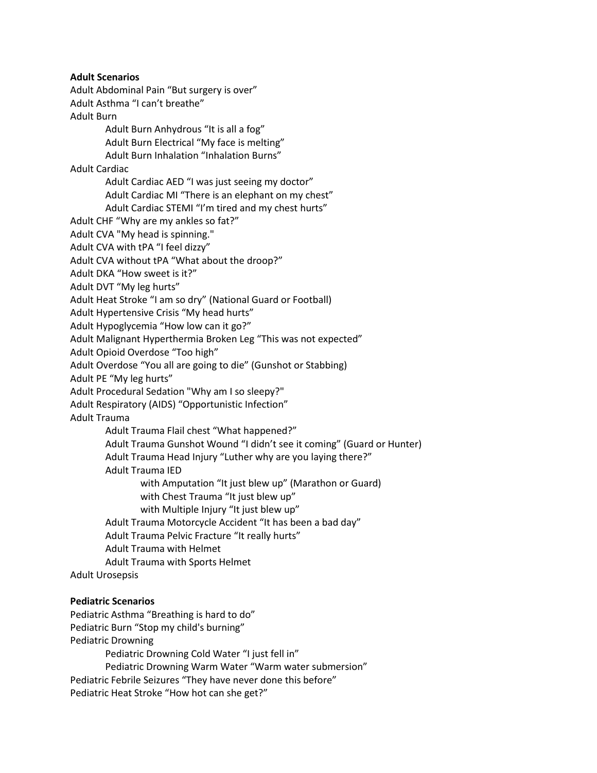**Adult Scenarios**

Adult Abdominal Pain "But surgery is over" Adult Asthma "I can't breathe" Adult Burn Adult Burn Anhydrous "It is all a fog" Adult Burn Electrical "My face is melting" Adult Burn Inhalation "Inhalation Burns" Adult Cardiac Adult Cardiac AED "I was just seeing my doctor" Adult Cardiac MI "There is an elephant on my chest" Adult Cardiac STEMI "I'm tired and my chest hurts" Adult CHF "Why are my ankles so fat?" Adult CVA "My head is spinning." Adult CVA with tPA "I feel dizzy" Adult CVA without tPA "What about the droop?" Adult DKA "How sweet is it?" Adult DVT "My leg hurts" Adult Heat Stroke "I am so dry" (National Guard or Football) Adult Hypertensive Crisis "My head hurts" Adult Hypoglycemia "How low can it go?" Adult Malignant Hyperthermia Broken Leg "This was not expected" Adult Opioid Overdose "Too high" Adult Overdose "You all are going to die" (Gunshot or Stabbing) Adult PE "My leg hurts" Adult Procedural Sedation "Why am I so sleepy?" Adult Respiratory (AIDS) "Opportunistic Infection" Adult Trauma Adult Trauma Flail chest "What happened?" Adult Trauma Gunshot Wound "I didn't see it coming" (Guard or Hunter) Adult Trauma Head Injury "Luther why are you laying there?" Adult Trauma IED with Amputation "It just blew up" (Marathon or Guard) with Chest Trauma "It just blew up" with Multiple Injury "It just blew up" Adult Trauma Motorcycle Accident "It has been a bad day" Adult Trauma Pelvic Fracture "It really hurts" Adult Trauma with Helmet Adult Trauma with Sports Helmet Adult Urosepsis **Pediatric Scenarios** Pediatric Asthma "Breathing is hard to do" Pediatric Burn "Stop my child's burning"

Pediatric Drowning Pediatric Drowning Cold Water "I just fell in" Pediatric Drowning Warm Water "Warm water submersion" Pediatric Febrile Seizures "They have never done this before"

Pediatric Heat Stroke "How hot can she get?"